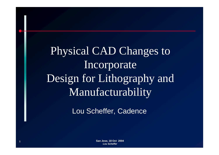Physical CAD Changes to Incorporate Design for Lithography and Manufacturability

Lou Scheffer, Cadence

 **San Jose, 18 Oct 2004** *Lou Scheffer*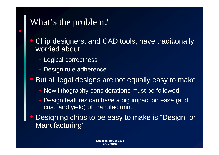### What's the problem?

- $\overline{\mathbb{C}}$ Chip designers, and CAD tools, have traditionally worried about
	- Logical correctness
	- -Design rule adherence

 $\bigcirc$ • But all legal designs are not equally easy to make

- New lithography considerations must be followed
- - Design features can have a big impact on ease (and cost, and yield) of manufacturing
- $\bigcirc$  Designing chips to be easy to make is "Design for Manufacturing"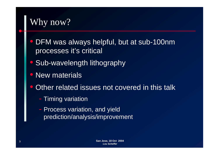# Why now?

- $\bigcirc$ DFM was always helpful, but at sub-100nm processes it's critical
- $\bigcirc$ Sub-wavelength lithography
- $\bigcirc$  New materials\_\_\_\_\_\_\_\_\_\_\_\_\_\_\_\_\_
- $\bigcirc$  Other related issues not covered in this talk
	- -- Timing variation
	- -- Process variation, and yield prediction/analysis/improvement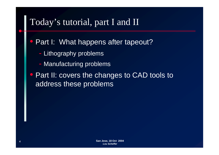# Today's tutorial, part I and II

- $\bigcirc$ Part I: What happens after tapeout?
	- Lithography problems
	- -- Manufacturing problems
- $\bigcirc$  Part II: covers the changes to CAD tools to address these problems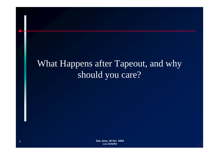# What Happens after Tapeout, and why should you care?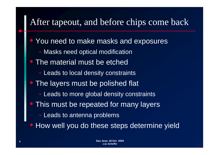### After tapeout, and before chips come back

- $\overline{\mathbb{C}}$  You need to make masks and exposures
	- Masks need optical modification
- The material must be etched
	- -- Leads to local density constraints
- $\bigcap$  The layers must be polished flat
	- -- Leads to more global density constraints
- **This must be repeated for many layers** 
	- Leads to antenna problems
- How well you do these steps determine yield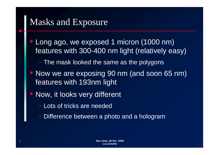## Masks and Exposure

- $\bigcirc$ • Long ago, we exposed 1 micron (1000 nm) features with 300-400 nm light (relatively easy)
	- The mask looked the same as the polygons
- Now we are exposing 90 nm (and soon 65 nm) features with 193nm light
- $\bigcap$ Now, it looks very different
	- Lots of tricks are needed
	- Difference between a photo and a hologram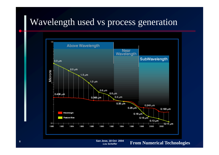#### Wavelength used vs process generation



 **San Jose, 18 Oct 2004** *Lou Scheffer*

**From Numerical Technologies**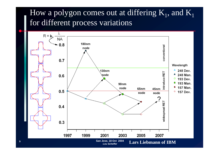#### How a polygon comes out at differing  $\mathrm{K}_1^{},$  and  $\mathrm{K}_1^{}$ for different process variations

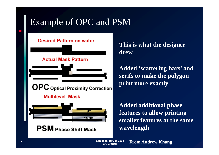## Example of OPC and PSM

#### **Desired Pattern on wafer**

#### **Actual Mask Pattern**

**OPC** Optical Proximity Correction

#### **Multilevel Mask**



**PSM** Phase Shift Mask

#### **This is what the designer drew**

**Added 'scattering bars' and serifs to make the polygon to make print more exactly**

**Added additional phase features to allow printing smaller features at the same wavelen gth g**

 **San Jose, 18 Oct 2004** *Lou Scheffer*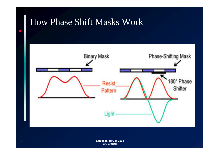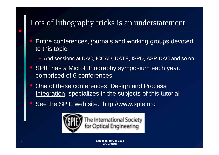#### Lots of lithography tricks is an understatement

- $\bigcirc$ Entire conferences, journals and working groups devoted to this topic
	- And sessions at DAC, ICCAD, DATE, ISPD, ASP-DAC and so on
- $\bigcirc$  SPIE has a MicroLithography symposium each year, comprised of 6 conferences
- $\bigcirc$  One of these conferences, Design and Process Integration, specializes in the subjects of this tutorial
- $\bigcap$ See the SPIE web site: http://www.spie.org

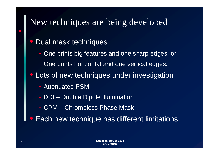## New techniques are being developed

#### $\bigcirc$ Dual mask techniques

- One prints big features and one sharp edges, or
- -One prints horizontal and one vertical edges.
- $\bigcirc$  Lots of new techniques under investigation
	- Attenuated PSM
	- DDI –– Double Dipole illumination
	- CPM Chromeless Phase Mask
- $\bigcirc$ Each new technique has different limitations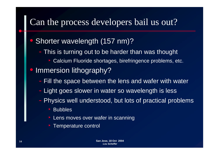### Can the process developers bail us out?

#### $\overline{\mathbb{C}}$ Shorter wavelength (157 nm)?

- This is turning out to be harder than was thought
	- ‣• Calcium Fluoride shortages, birefringence problems, etc.
- $\bigcirc$  Immersion lithography?
	- Fill the space between the lens and wafer with water
	- Light goes slower in water so wavelength is less
	- Physics well understood, but lots of practical problems
		- $\triangleright$ ▶ Bubbles
		- **Example 1 Sensa moves over wafer in scanning**
		- $\triangleright$ Temperature control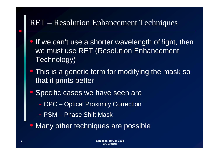#### RET – Resolution Enhancement Techniques

- $\bigcirc$ If we can't use a shorter wavelength of light, then we must use RET (Resolution Enhancement Technology)
- **This is a generic term for modifying the mask so** that it prints better
- $\bigcap$  Specific cases we have seen are
	- -OPC – Optical Proximity Correction
	- PSM Phase Shift Mask
- Many other techniques are possible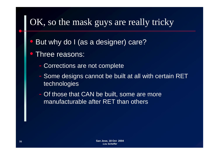## OK, so the mask guys are really tricky

 $\bigcirc$ • But why do I (as a designer) care?

#### $\bigcirc$ Three reasons:

- -Corrections are not complete
- Some designs cannot be built at all with certain RET technologies
- -- Of those that CAN be built, some are more manufacturable after RET than others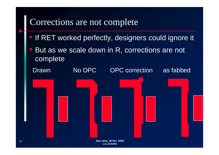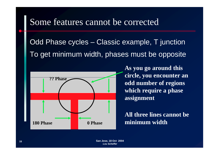### Some features cannot be corrected

Odd Phase cycles – $-$  Classic example, T junction To get minimum width, phases must be opposite



**As you go around this**  *<u>k</u> circle, you encounter an* **odd number of regions which require a phase assignment**

**A i All three l ines cannot be minimum width**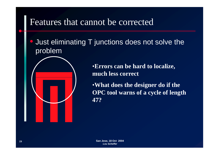### Features that cannot be corrected

**• Just eliminating T junctions does not solve the** problem



•**Errors can be hard to localize, much less correct**

•**What does the designer do if the OPC** tool warns of a cycle of length **47?**

 $\bigcirc$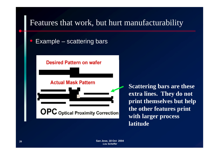#### Features that work, but hurt manufacturability

 $\bigcirc$ **• Example** –– scattering bars

#### **Desired Pattern on wafer**

#### **Actual Mask Pattern**

**OPC** Optical Proximity Correction

**Scattering bars are these extra lines. They do not print themselves but help the other features print with larger process latitude**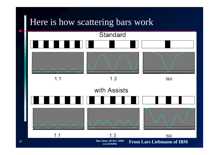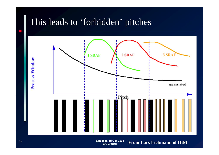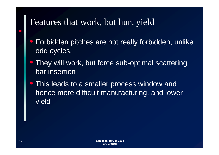### Features that work, but hurt yield

- $\bigcirc$ Forbidden pitches are not really forbidden, unlike odd cycles.
- $\bigcirc$  They will work, but force sub-optimal scattering bar insertion
- **This leads to a smaller process window and** hence more difficult manufacturing, and lower yield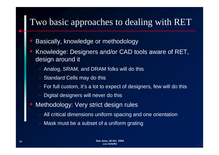### Two basic approaches to dealing with RET

- $\bigcirc$ Basically, knowledge or methodology
- $\Box$  Knowledge: Designers and/or CAD tools aware of RET, design around it
	- Analog, SRAM, and DRAM folks will do this
	- Standard Cells may do this
	- For full custom, it's a lot to expect of designers, few will do this
	- Digital designers will never do this
- $\bigcap$  Methodology: Very strict design rules
	- All critical dimensions uniform spacing and one orientation
	- Mask must be a subset of a uniform grating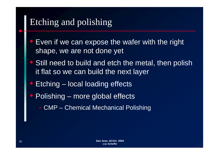# Etching and polishing

- $\bigcirc$  Even if we can expose the wafer with the right shape, we are not done yet
- $\bigcirc$  Still need to build and etch the metal, then polish it flat so we can build the next layer
- $\bigcirc$ Etching – local loading effects
- $\bigcap$ **• Polishing** – more global effects
	- -CMP – Chemical Mechanical Polishing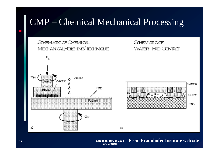### CMP – Chemical Mechanical Processing



*Lou Scheffer*

**26**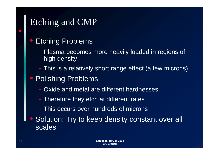# Etching and CMP

#### $\overline{\mathbb{C}}$ Etching Problems

- Plasma becomes more heavily loaded in regions of high density
- This is a relatively short range effect (a few microns)
- $\bigcirc$  Polishing Problems
	- Oxide and metal are different hardnesses
	- Therefore they etch at different rates
	- This occurs over hundreds of microns
- $\bigcirc$  Solution: Try to keep density constant over all scales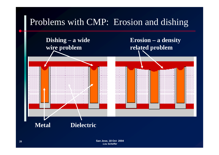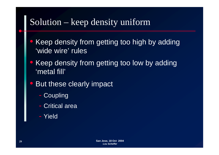### Solution – keep density uniform

- $\bigcirc$  Keep density from getting too high by adding 'wide wire' rules
- $\bigcirc$  Keep density from getting too low by adding 'metal fill'
- $\bigcirc$  But these clearly impact
	- -- Coupling
	- -Critical area
	- Yield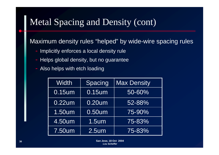# Metal Spacing and Density (cont)

Maximum density rules "helped" by wide-wire spacing rules

- Implicitly enforces a local density rule
- Helps global density, but no guarantee
- Also helps with etch loading

| <b>Width</b> | Spacing      | <b>Max Density</b> |
|--------------|--------------|--------------------|
| 0.15um       | 0.15um       | 50-60%             |
| $0.22$ um    | 0.20um       | 52-88%             |
| 1.50um       | 0.50um       | 75-90%             |
| 4.50um       | <u>1.5um</u> | 75-83%             |
| 7.50um       | $2.5$ um     | $75 - 83\%$        |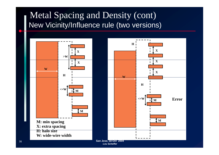### Metal Spacing and Density (cont) New Vicinity/Influence rule (two versions)



**W: wide-wire width**

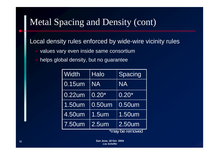# Metal Spacing and Density (cont)

#### Local density rules enforced by wide-wire vicinity rules

- values vary even inside same consortium
- helps global density, but no guarantee

| Width           | <b>Halo</b> | Spacing   |
|-----------------|-------------|-----------|
| $0.15$ um       | <b>NA</b>   | <b>NA</b> |
| $0.22$ um       | $0.20*$     | $0.20*$   |
| 1.50um          | 0.50um      | 0.50um    |
| 4.50um          | $1.5$ um    | 1.50um    |
| 7.50um          | $2.5$ um    | $2.50$ um |
| *may be removed |             |           |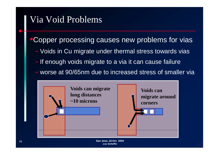## Via Void Problems

#### **•Copper processing causes new problems for vias**

- Voids in Cu migrate under thermal stress towards vias
- If enough voids migrate to a via it can cause failure
- worse at 90/65nm due to increased stress of smaller via

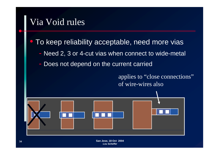## Via Void rules

#### $\bigcirc$ To keep reliability acceptable, need more vias

- Need 2, 3 or 4-cut vias when connect to wide-metal
- Does not depend on the current carried

applies to "close connections" of wire-wires also

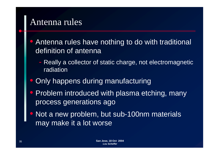#### Antenna rules

- $\bigcirc$ Antenna rules have nothing to do with traditional definition of antenna
	- -- Really a collector of static charge, not electromagnetic radiation
- $\bigcirc$ Only happens during manufacturing
- $\bigcap$ Problem introduced with plasma etching, many process generations ago
- $\bigcap$ • Not a new problem, but sub-100nm materials may make it a lot worse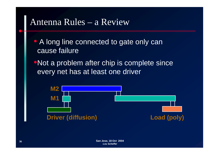#### Antenna Rules – <sup>a</sup> Review

- A long line connected to gate only can cause failure
- •Not a problem after chip is complete since every net has at least one driver

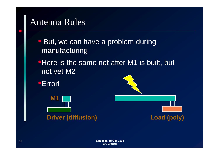#### Antenna Rules

- $\bigcirc$ But, we can have a problem during manufacturing
- Here is the same net after M1 is built, but not yet M2
- •Error! **M1**

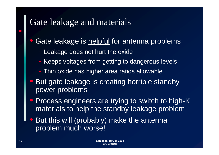# Gate leakage and materials

#### $\overline{\mathbb{C}}$ Gate leakage is helpful for antenna problems

- Leakage does not hurt the oxide
- Keeps voltages from getting to dangerous levels
- Thin oxide has higher area ratios allowable
- $\bigcirc$  But gate leakage is creating horrible standby power problems
- $\bigcirc$  Process engineers are trying to switch to high-K materials to help the standby leakage problem
- $\bigcirc$  But this will (probably) make the antenna problem much worse!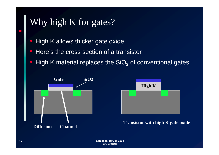# Why high K for gates?

- $\bigcirc$ **• High K allows thicker gate oxide**
- $\Box$ Here's the cross section of a transistor
- $\bigcirc$ **• High K material replaces the SiO<sub>2</sub> of conventional gates**



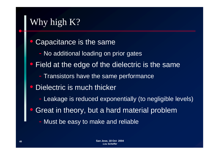# Why high K?

- $\bigcirc$  Capacitance is the same
	- No additional loading on prior gates
- $\bigcirc$  Field at the edge of the dielectric is the same
	- Transistors have the same performance
- $\bigcirc$  Dielectric is much thicker
	- -- Leakage is reduced exponentially (to negligible levels)
- $\bigcap$ Great in theory, but a hard material problem
	- Must be easy to make and reliable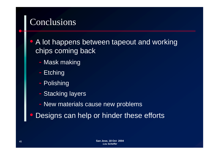## Conclusions

 $\bigcirc$  A lot happens between tapeout and working chips coming back

- Mask making
- **Etching**
- Polishing
- Stacking layers
- -New materials cause new problems
- $\bigcirc$ Designs can help or hinder these efforts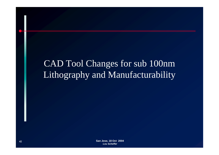# CAD Tool Changes for sub 100nm Lithography and Manufacturability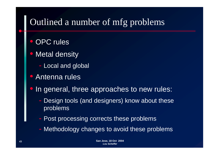## Outlined <sup>a</sup> number of mfg problems

- $\bigcirc$ OPC rules
- $\bigcirc$  Metal density
	- -Local and global
- $\bigcirc$  Antenna rules\_\_\_\_\_\_\_\_\_
- $\bigcap$ In general, three approaches to new rules:
	- - Design tools (and designers) know about these problems
	- -- Post processing corrects these problems
	- -- Methodology changes to avoid these problems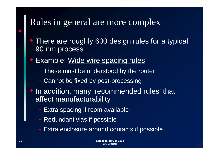### Rules in general are more complex

- $\overline{\mathbb{C}}$ • There are roughly 600 design rules for a typical 90 nm process
- $\bigcirc$  Example: Wide wire spacing rules
	- These <u>must be understood by the router</u>
	- Cannot be fixed by post-processing
- $\bigcirc$ • In addition, many 'recommended rules' that affect manufacturability
	- Extra spacing if room available
	- Redundant vias if possible
	- Extra enclosure around contacts if possible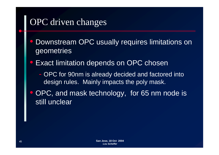## OPC driven changes

- $\bigcirc$ Downstream OPC usually requires limitations on geometries
- $\bigcirc$  Exact limitation depends on OPC chosen
	- OPC for 90nm is alread y decided and factored into design rules. Mainly impacts the poly mask.
- $\bigcap$ OPC, and mask technology, for 65 nm node is still unclear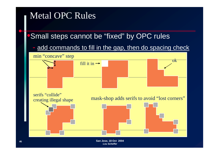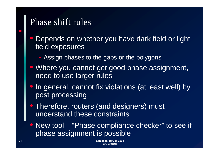#### Phase shift rules

- $\overline{\mathbb{C}}$ Depends on whether you have dark field or light field exposures
	- Assign phases to the gaps or the polygons
- $\bigcirc$  Where you cannot get good phase assignment, need to use larger rules
- $\bigcirc$  In general, cannot fix violations (at least well) by post processing
- $\bigcirc$  Therefore, routers (and designers) must understand these constraints
- $\bigcirc$  New tool – "Phase compliance checker" to see if phase assignment is possible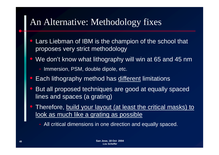### An Alternative: Methodology fixes

- $\bigcirc$  Lars Liebman of IBM is the champion of the school that proposes very strict methodology
- $\bigcirc$ We don't know what lithography will win at 65 and 45 nm
	- Immersion, PSM, double dipole, etc.
- $\bigcirc$ Each lithography method has different limitations
- $\bigcirc$  But all proposed techniques are good at equally spaced lines and spaces (a grating)
- $\bigcap$  Therefore, build your layout (at least the critical masks) to <u>look as much like a grating as possible</u>

All critical dimensions in one direction and equally spaced.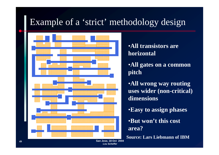## Example of a 'strict' methodology design



#### •**All transistors are horizontal**

•**All gates on a common pitch**

•**All wrong way routing uses wider (non-critical) dimensions**

•**Easy gp to assign phases**

•**But won't this cost area?**

**Source: Lars Liebmann of IBM**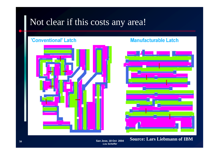### Not clear if this costs any area!

#### 'Conventional' Latch



#### **Manufacturable Latch**



**Source: Lars Liebmann of IBM**

 **San Jose, 18 Oct 2004** *Lou Scheffer*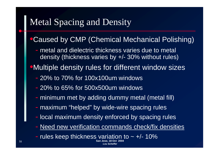# Metal Spacing and Density

#### **Caused by CMP (Chemical Mechanical Polishing)**

- metal and dielectric thickness varies due to metal density (thickness varies by +/- 30% without rules)
- •Multiple density rules for different window sizes
	- 20% to 70% for 100x100um windows
	- 20% to 65% for 500x500um windows
	- minimum met by adding dummy metal (metal fill)
	- -- maximum "helped" by wide-wire spacing rules
	- -- local maximum density enforced by spacing rules
	- Need new verification commands check/fix densities

*Lou Scheffer*

 **San Jose, 18 Oct 2004** -- rules keep thickness variation to  $\sim$  +/- 10%

**51**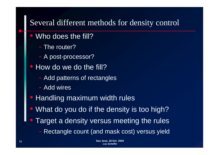#### Several different methods for density control

- $\overline{\phantom{a}}$ • Who does the fill?
	- The router?
	- A post-processor?
- $\bigcirc$ • How do we do the fill?
	- -Add patterns of rectangles
	- Add wires
- Handling maximum width rules
- $\bigcirc$ • What do you do if the density is too high?
- $\bigcap$  Target a density versus meeting the rules
	- Rectangle count (and mask cost) versus yield - Rec tangle coun (an d mas k cost) versus yield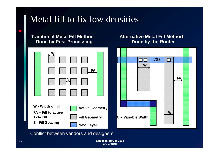## Metal fill to fix low densities

#### **Traditional Metal Fill Method – Done by Post -Processing**

#### **Alternative Metal Fill Method – Done by the Router**

| _W                                                                                                                                                  | <b>VSS</b>              |
|-----------------------------------------------------------------------------------------------------------------------------------------------------|-------------------------|
| FA.                                                                                                                                                 | W<br><b>FA</b>          |
| W - Width of fill<br><b>Active Geometry</b><br>FA - Fill to active<br>spacing<br><b>Fill Geometry</b><br><b>S-Fill Spacing</b><br><b>Next Layer</b> | W<br>W - Variable Width |

Conflict between vendors and designers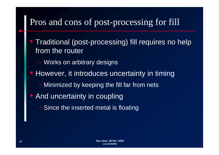## Pros and cons of post-processing for fill

 $\bigcirc$ • Traditional (post-processing) fill requires no help from the router

- Works on arbitrary designs
- However, it introduces uncertainty in timing
	- Minimized by keeping the fill far from nets
- $\bigcap$  And uncertainty in coupling
	- -- Since the inserted metal is floating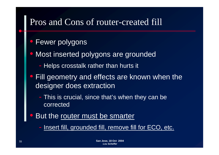#### Pros and Cons of router-created fill

- $\bigcirc$ Fewer polygons
- $\bigcirc$  Most inserted polygons are grounded
	- -- Helps crosstalk rather than hurts it
- $\bigcirc$ Fill geometry and effects are known when the designer does extraction
	- This is crucial, since that's when they can be corrected
- $\bigcap$ • But the router must be smarter
	- -- Insert fill, grounded fill, remove fill for ECO, etc.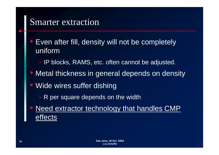### Smarter extraction

- $\bigcirc$ Even after fill, density will not be completely uniform
	- -- IP blocks, RAMS, etc. often cannot be adjusted.
- Metal thickness in general depends on density
- Wide wires suffer dishing
	- R per square depends on the width
- $\bigcap$  Need extractor technology that handles CMP effects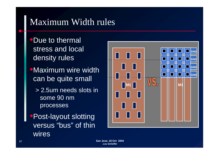## Maximum Width rules

- **•Due to thermal** stress and local
- **•Maximum wire width** can be quite small
	- > 2.5um needs slots in some 90 nm processes
- •Post-layout slotting versus "bus" of thin wires

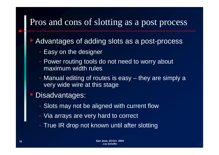#### Pros and cons of slotting as <sup>a</sup> pos<sup>t</sup> process

 $\overline{\mathbb{C}}$ • Advantages of adding slots as a post-process

- Easy on the designer
- Power routing tools do not need to worry about maximum width rules
- Manual editing of routes is easy –– they are simply a very wide wire at this stage
- $\bigcirc$  Disadvantages:
	- -Slots may not be aligned with current flow
	- -- Via arrays are very hard to correct
	- True IR drop not known until after slotting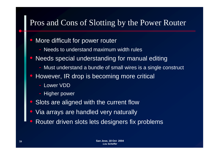#### Pros and Cons of Slotting by the Power Router

- $\overline{\phantom{a}}$ More difficult for power router
	- -Needs to understand maximum width rules
- $\bigcirc$ Needs special understanding for manual editing
	- Must understand a bundle of small wires is a single construct
- $\bigcirc$ However, IR drop is becoming more critical
	- Lower VDD
	- Higher power
- Slots are aligned with the current flow
- $\bigcap$ Via arrays are handled very naturally
- $\bigcap$ Router driven slots lets designers fix problems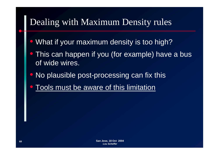# Dealing with Maximum Density rules

- $\bigcirc$ What if your maximum density is too high?
- This can happen if you (for example) have a bus of wide wires.
- $\bigcirc$ • No plausible post-processing can fix this
- $\bigcirc$ **• Tools must be aware of this limitation**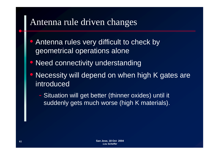### Antenna rule driven changes

- $\bigcirc$  Antenna rules very difficult to check by geometrical operations alone
- $\bigcirc$ Need connectivity understanding
- $\bigcirc$ • Necessity will depend on when high K gates are introduced
	- - Situation will get better (thinner oxides) until it suddenly gets much worse (high K materials).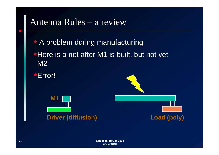#### Antenna Rules – <sup>a</sup> review

- A problem during manufacturing
- •Here is a net after M1 is built, but not yet M2
- •Error!



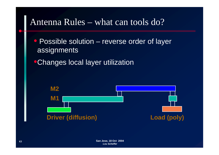#### Antenna Rules – what can tools do?

• Possible solution – reverse order of layer assignments

•Changes local layer utilization

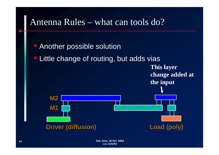

 **San Jose, 18 Oct 2004** *Lou Scheffer*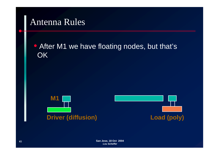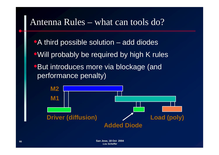#### Antenna Rules – what can tools do?

- A third possible solution  $-$  add diodes
- •Will probably be required by high K rules
- •But introduces more via blockage (and performance penalty)

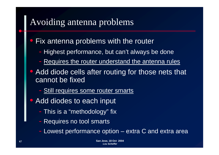### Avoiding antenna problems

#### $\overline{\mathbb{C}}$ Fix antenna problems with the router

- Highest performance, but can't always be done
- Requires the router understand the antenna rules
- $\bigcirc$  Add diode cells after routing for those nets that cannot be fixed
	- Still requires some router smarts
- $\bigcirc$  Add diodes to each input
	- This is a "methodology" fix
	- -Requires no tool smarts
	- Lowest performance option extra C and extra area  $-$  Lowest performance option  $-$  extra  $\cup$  and extr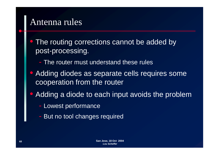#### Antenna rules

- $\bigcirc$ The routing corrections cannot be added by post-processing.
	- The router must understand these rules
- $\bigcirc$  Adding diodes as separate cells requires some cooperation from the router
- $\bigcap$ Adding a diode to each input avoids the problem
	- -- Lowest performance
	- But no tool changes required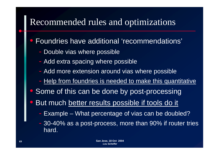### Recommended rules and optimizations

- $\overline{\mathbb{C}}$ Foundries have additional 'recommendations'
	- Double vias where possible
	- Add extra spacing where possible
	- Add more extension around vias where possible
	- Help from foundries is needed to make this quantitative
- $\bigcap$ • Some of this can be done by post-processing
- $\bigcirc$  But much better results possible if tools do it
	- -- Example What percentage of vias can be doubled?
	- - 30-40% as a post-process, more than 90% if router tries hard.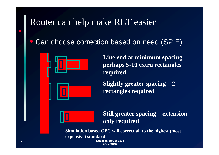## Router can help make RET easier

 $\bigcirc$ Can choose correction based on need (SPIE)



 $\bf L$ ine end at minimum spacing **perhaps 5-10 extra rectangles required**

**Slightly greater spacing – 2 rectangles required**

**Still greater spacing – ext i ens ion only required**

Simulation based OPC will correct all to the highest (most **expensive) standard**

 **San Jose, 18 Oct 2004** *Lou Scheffer*